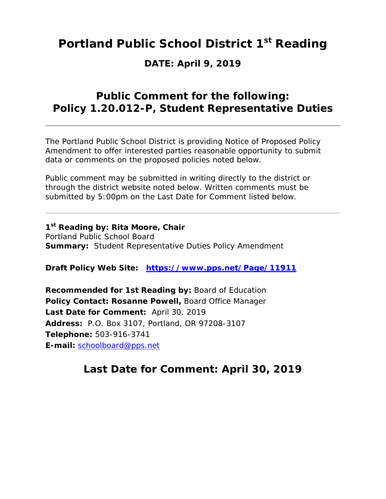## **Portland Public School District 1st Reading**

## **DATE: April 9, 2019**

## **Public Comment for the following: Policy 1.20.012-P, Student Representative Duties**

The Portland Public School District is providing Notice of Proposed Policy Amendment to offer interested parties reasonable opportunity to submit data or comments on the proposed policies noted below.

Public comment may be submitted in writing directly to the district or through the district website noted below. Written comments must be submitted by 5:00pm on the Last Date for Comment listed below.

**1st Reading by: Rita Moore, Chair** Portland Public School Board **Summary:** Student Representative Duties Policy Amendment

**Draft Policy Web Site: https://www.pps.net/Page/11911**

**Recommended for 1st Reading by:** Board of Education **Policy Contact: Rosanne Powell,** Board Office Manager **Last Date for Comment:** April 30, 2019 **Address:** P.O. Box 3107, Portland, OR 97208-3107 **Telephone:** 503-916-3741 **E-mail:** schoolboard@pps.net

## **Last Date for Comment: April 30, 2019**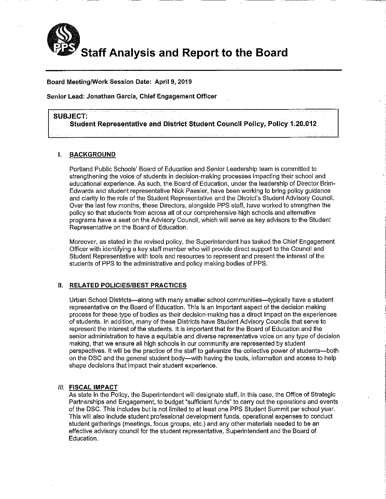

Board Meeting/Work Session Date: April 9, 2019

Senior Lead: Jonathan Garcia, Chief Engagement Officer

### **SUBJECT:**

Student Representative and District Student Council Policy, Policy 1.20.012

### **BACKGROUND** L.

Portland Public Schools' Board of Education and Senior Leadership team is committed to strengthening the voice of students in decision-making processes impacting their school and educational experience. As such, the Board of Education, under the leadership of Director Brim-Edwards and student representative Nick Paesler, have been working to bring policy guidance and clarity to the role of the Student Representative and the District's Student Advisory Council. Over the last few months, these Directors, alongside PPS staff, have worked to strengthen the policy so that students from across all of our comprehensive high schools and alternative programs have a seat on the Advisory Council, which will serve as key advisors to the Student Representative on the Board of Education.

Moreover, as stated in the revised policy, the Superintendent has tasked the Chief Engagement Officer with identifying a key staff member who will provide direct support to the Council and Student Representative with tools and resources to represent and present the interest of the students of PPS to the administrative and policy making bodies of PPS.

### II. RELATED POLICIES/BEST PRACTICES

Urban School Districts—along with many smaller school communities—typically have a student representative on the Board of Education. This is an important aspect of the decision making process for these type of bodies as their decision-making has a direct impact on the experiences of students. In addition, many of these Districts have Student Advisory Councils that serve to represent the interest of the students. It is important that for the Board of Education and the senior administration to have a equitable and diverse representative voice on any type of decision making, that we ensure all high schools in our community are represented by student perspectives. It will be the practice of the staff to galvanize the collective power of students—both on the DSC and the general student body—with having the tools, information and access to help shape decisions that impact their student experience.

### **III. FISCAL IMPACT**

As state in the Policy, the Superintendent will designate staff, in this case, the Office of Strategic Partnerships and Engagement, to budget "sufficient funds" to carry out the operations and events of the DSC. This includes but is not limited to at least one PPS Student Summit per school year. This will also include student professional development funds, operational expenses to conduct student gatherings (meetings, focus groups, etc.) and any other materials needed to be an effective advisory council for the student representative. Superintendent and the Board of Education.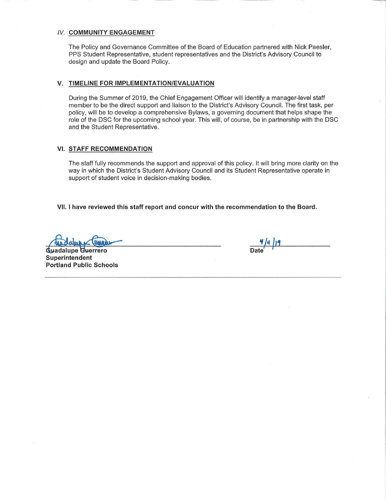### **IV. COMMUNITY ENGAGEMENT**

The Policy and Governance Committee of the Board of Education partnered with Nick Paesler, PPS Student Representative, student representatives and the District's Advisory Council to design and update the Board Policy.

### V. TIMELINE FOR IMPLEMENTATION/EVALUATION

During the Summer of 2019, the Chief Engagement Officer will identify a manager-level staff member to be the direct support and liaison to the District's Advisory Council. The first task, per policy, will be to develop a comprehensive Bylaws, a governing document that helps shape the role of the DSC for the upcoming school year. This will, of course, be in partnership with the DSC and the Student Representative.

### VI. STAFF RECOMMENDATION

The staff fully recommends the support and approval of this policy. It will bring more clarity on the way in which the District's Student Advisory Council and its Student Representative operate in support of student voice in decision-making bodies.

VII. I have reviewed this staff report and concur with the recommendation to the Board.

**Guadalupe Guerrero** Superintendent **Portland Public Schools** 

 $\frac{q}{\text{Date}}$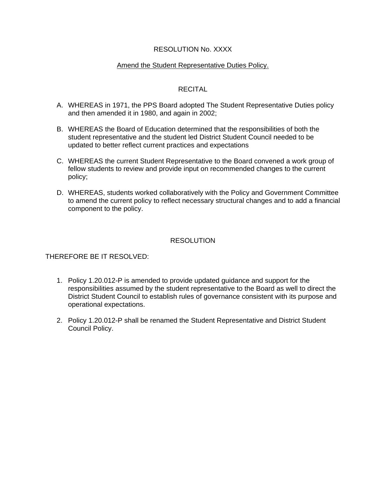### RESOLUTION No. XXXX

### Amend the Student Representative Duties Policy.

## RECITAL

- A. WHEREAS in 1971, the PPS Board adopted The Student Representative Duties policy and then amended it in 1980, and again in 2002;
- B. WHEREAS the Board of Education determined that the responsibilities of both the student representative and the student led District Student Council needed to be updated to better reflect current practices and expectations
- C. WHEREAS the current Student Representative to the Board convened a work group of fellow students to review and provide input on recommended changes to the current policy;
- D. WHEREAS, students worked collaboratively with the Policy and Government Committee to amend the current policy to reflect necessary structural changes and to add a financial component to the policy.

## **RESOLUTION**

## THEREFORE BE IT RESOLVED:

- 1. Policy 1.20.012-P is amended to provide updated guidance and support for the responsibilities assumed by the student representative to the Board as well to direct the District Student Council to establish rules of governance consistent with its purpose and operational expectations.
- 2. Policy 1.20.012-P shall be renamed the Student Representative and District Student Council Policy.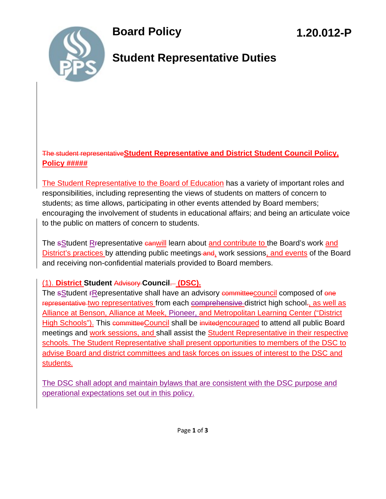

## **Student Representative Duties**

## The student representative**Student Representative and District Student Council Policy, Policy #####**

The Student Representative to the Board of Education has a variety of important roles and responsibilities, including representing the views of students on matters of concern to students; as time allows, participating in other events attended by Board members; encouraging the involvement of students in educational affairs; and being an articulate voice to the public on matters of concern to students.

The sStudent Rrepresentative canwill learn about and contribute to the Board's work and District's practices by attending public meetings and, work sessions, and events of the Board and receiving non-confidential materials provided to Board members.

## (1). **District Student** Advisory **Council**. **(DSC).**

The sStudent *FRepresentative shall have an advisory committeecouncil* composed of one representative two representatives from each comprehensive district high school-, as well as Alliance at Benson, Alliance at Meek, Pioneer, and Metropolitan Learning Center ("District High Schools"). This committee Council shall be invitedencouraged to attend all public Board meetings and work sessions, and shall assist the Student Representative in their respective schools. The Student Representative shall present opportunities to members of the DSC to advise Board and district committees and task forces on issues of interest to the DSC and students.

The DSC shall adopt and maintain bylaws that are consistent with the DSC purpose and operational expectations set out in this policy.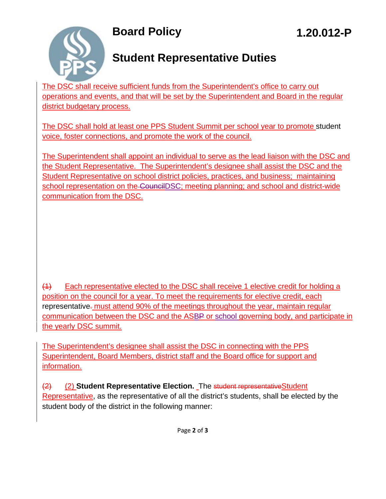

# **Student Representative Duties**

The DSC shall receive sufficient funds from the Superintendent's office to carry out operations and events, and that will be set by the Superintendent and Board in the regular district budgetary process.

The DSC shall hold at least one PPS Student Summit per school year to promote student voice, foster connections, and promote the work of the council.

The Superintendent shall appoint an individual to serve as the lead liaison with the DSC and the Student Representative. The Superintendent's designee shall assist the DSC and the Student Representative on school district policies, practices, and business; maintaining school representation on the CouncilDSC; meeting planning; and school and district-wide communication from the DSC.

(1) Each representative elected to the DSC shall receive 1 elective credit for holding a position on the council for a year. To meet the requirements for elective credit, each representative. must attend 90% of the meetings throughout the year, maintain regular communication between the DSC and the ASBP or school governing body, and participate in the yearly DSC summit.

The Superintendent's designee shall assist the DSC in connecting with the PPS Superintendent, Board Members, district staff and the Board office for support and information.

(2) (2) **Student Representative Election.** The student representativeStudent Representative, as the representative of all the district's students, shall be elected by the student body of the district in the following manner: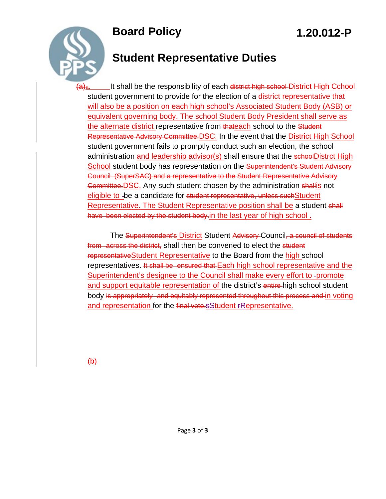

# **Student Representative Duties**

(a)<sub>a.</sub> It shall be the responsibility of each district high school District High Cchool student government to provide for the election of a district representative that will also be a position on each high school's Associated Student Body (ASB) or equivalent governing body. The school Student Body President shall serve as the alternate district representative from thateach school to the Student Representative Advisory Committee.DSC. In the event that the District High School student government fails to promptly conduct such an election, the school administration and leadership advisor(s) shall ensure that the schoolDistrct High School student body has representation on the Superintendent's Student Advisory Council (SuperSAC) and a representative to the Student Representative Advisory Committee. DSC. Any such student chosen by the administration shallis not eligible to -be a candidate for student representative, unless such Student Representative. The Student Representative position shall be a student shall have been elected by the student body. in the last year of high school.

The Superintendent's District Student Advisory Council, a council of students from across the district, shall then be convened to elect the student representativeStudent Representative to the Board from the high school representatives. It shall be ensured that Each high school representative and the Superintendent's designee to the Council shall make every effort to -promote and support equitable representation of the district's entire-high school student body is appropriately and equitably represented throughout this process and in voting and representation for the final vote.sStudent FRepresentative.

 $\overline{(b)}$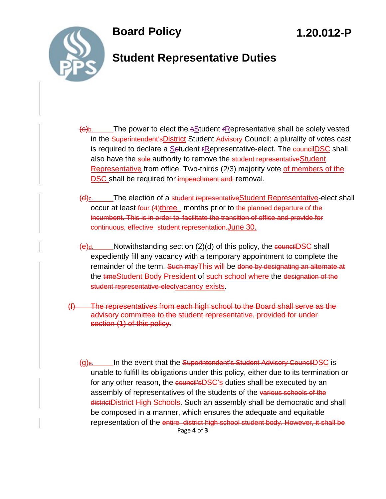

## **Student Representative Duties**

- $\left(\frac{c}{b}\right)$ . The power to elect the sStudent *FRepresentative shall be solely vested* in the Superintendent's District Student Advisory Council; a plurality of votes cast is required to declare a Sstudent *FRepresentative-elect*. The **councilDSC** shall also have the sole-authority to remove the student representative Student Representative from office. Two-thirds (2/3) majority vote of members of the **DSC** shall be required for impeachment and removal.
- (d)c. The election of a student representativeStudent Representative-elect shall occur at least four (4)three months prior to the planned departure of the incumbent. This is in order to facilitate the transition of office and provide for continuous, effective student representation.June 30.
- $\Theta$ d. Notwithstanding section (2)(d) of this policy, the councilDSC shall expediently fill any vacancy with a temporary appointment to complete the remainder of the term. Such may This will be done by designating an alternate at the timeStudent Body President of such school where the designation of the student representative-electvacancy exists.
- (f) The representatives from each high school to the Board shall serve as the advisory committee to the student representative, provided for under section (1) of this policy.
	- Page **4** of **3**  $\Theta$ <sub>e.</sub> In the event that the Superintendent's Student Advisory CouncilDSC is unable to fulfill its obligations under this policy, either due to its termination or for any other reason, the council'sDSC's duties shall be executed by an assembly of representatives of the students of the various schools of the districtDistrict High Schools. Such an assembly shall be democratic and shall be composed in a manner, which ensures the adequate and equitable representation of the entire district high school student body. However, it shall be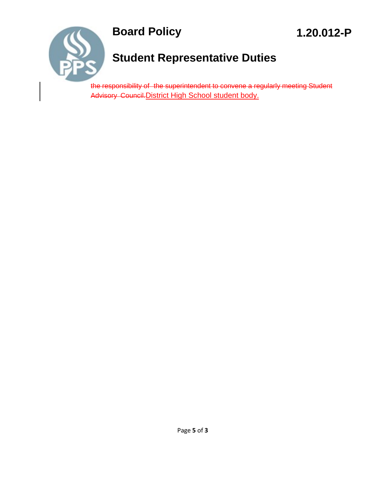



# **Student Representative Duties**

the responsibility of the superintendent to convene a regularly meeting Student Advisory Council. District High School student body.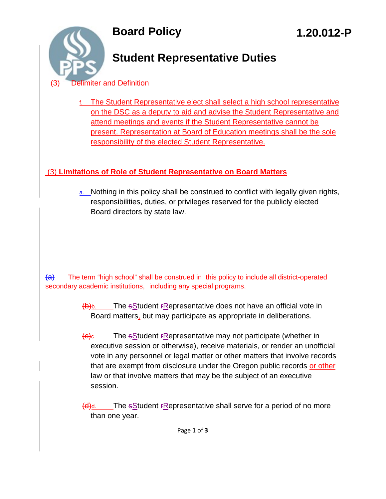

# **Student Representative Duties**

## limiter and Definition

f. The Student Representative elect shall select a high school representative on the DSC as a deputy to aid and advise the Student Representative and attend meetings and events if the Student Representative cannot be present. Representation at Board of Education meetings shall be the sole responsibility of the elected Student Representative.

## (3) **Limitations of Role of Student Representative on Board Matters**

a. Nothing in this policy shall be construed to conflict with legally given rights, responsibilities, duties, or privileges reserved for the publicly elected Board directors by state law.

(a) The term "high school" shall be construed in this policy to include all district-operated secondary academic institutions, including any special programs.

> $(b)$ b. The sStudent rRepresentative does not have an official vote in Board matters, but may participate as appropriate in deliberations.

 $\frac{1}{100}$ . The sStudent *F*Representative may not participate (whether in executive session or otherwise), receive materials, or render an unofficial vote in any personnel or legal matter or other matters that involve records that are exempt from disclosure under the Oregon public records or other law or that involve matters that may be the subject of an executive session.

 $\frac{d}{dx}$  The sStudent FRepresentative shall serve for a period of no more than one year.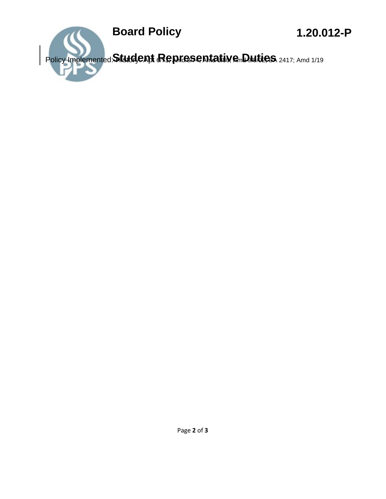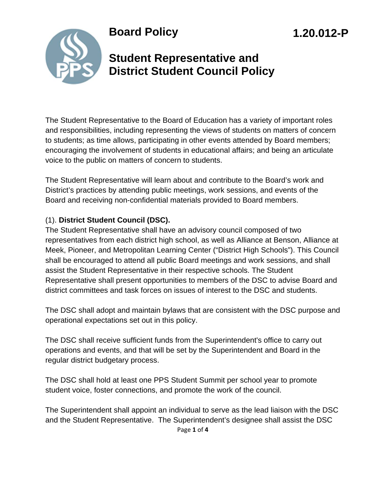

## **Student Representative and District Student Council Policy**

**1.20.012-P** 

The Student Representative to the Board of Education has a variety of important roles and responsibilities, including representing the views of students on matters of concern to students; as time allows, participating in other events attended by Board members; encouraging the involvement of students in educational affairs; and being an articulate voice to the public on matters of concern to students.

The Student Representative will learn about and contribute to the Board's work and District's practices by attending public meetings, work sessions, and events of the Board and receiving non-confidential materials provided to Board members.

## (1). **District Student Council (DSC).**

The Student Representative shall have an advisory council composed of two representatives from each district high school, as well as Alliance at Benson, Alliance at Meek, Pioneer, and Metropolitan Learning Center ("District High Schools"). This Council shall be encouraged to attend all public Board meetings and work sessions, and shall assist the Student Representative in their respective schools. The Student Representative shall present opportunities to members of the DSC to advise Board and district committees and task forces on issues of interest to the DSC and students.

The DSC shall adopt and maintain bylaws that are consistent with the DSC purpose and operational expectations set out in this policy.

The DSC shall receive sufficient funds from the Superintendent's office to carry out operations and events, and that will be set by the Superintendent and Board in the regular district budgetary process.

The DSC shall hold at least one PPS Student Summit per school year to promote student voice, foster connections, and promote the work of the council.

Page **1** of **4** The Superintendent shall appoint an individual to serve as the lead liaison with the DSC and the Student Representative. The Superintendent's designee shall assist the DSC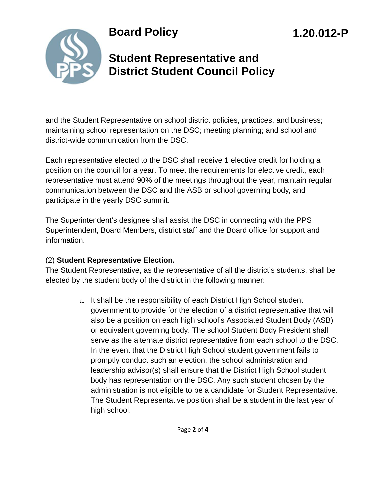# **Student Representative and District Student Council Policy**

**1.20.012-P** 

and the Student Representative on school district policies, practices, and business; maintaining school representation on the DSC; meeting planning; and school and district-wide communication from the DSC.

Each representative elected to the DSC shall receive 1 elective credit for holding a position on the council for a year. To meet the requirements for elective credit, each representative must attend 90% of the meetings throughout the year, maintain regular communication between the DSC and the ASB or school governing body, and participate in the yearly DSC summit.

The Superintendent's designee shall assist the DSC in connecting with the PPS Superintendent, Board Members, district staff and the Board office for support and information.

## (2) **Student Representative Election.**

The Student Representative, as the representative of all the district's students, shall be elected by the student body of the district in the following manner:

> a. It shall be the responsibility of each District High School student government to provide for the election of a district representative that will also be a position on each high school's Associated Student Body (ASB) or equivalent governing body. The school Student Body President shall serve as the alternate district representative from each school to the DSC. In the event that the District High School student government fails to promptly conduct such an election, the school administration and leadership advisor(s) shall ensure that the District High School student body has representation on the DSC. Any such student chosen by the administration is not eligible to be a candidate for Student Representative. The Student Representative position shall be a student in the last year of high school.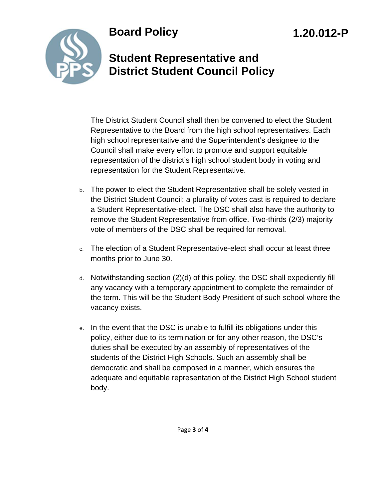# **1.20.012-P**



## **Student Representative and District Student Council Policy**

The District Student Council shall then be convened to elect the Student Representative to the Board from the high school representatives. Each high school representative and the Superintendent's designee to the Council shall make every effort to promote and support equitable representation of the district's high school student body in voting and representation for the Student Representative.

- b. The power to elect the Student Representative shall be solely vested in the District Student Council; a plurality of votes cast is required to declare a Student Representative-elect. The DSC shall also have the authority to remove the Student Representative from office. Two-thirds (2/3) majority vote of members of the DSC shall be required for removal.
- c. The election of a Student Representative-elect shall occur at least three months prior to June 30.
- d. Notwithstanding section (2)(d) of this policy, the DSC shall expediently fill any vacancy with a temporary appointment to complete the remainder of the term. This will be the Student Body President of such school where the vacancy exists.
- e. In the event that the DSC is unable to fulfill its obligations under this policy, either due to its termination or for any other reason, the DSC's duties shall be executed by an assembly of representatives of the students of the District High Schools. Such an assembly shall be democratic and shall be composed in a manner, which ensures the adequate and equitable representation of the District High School student body.